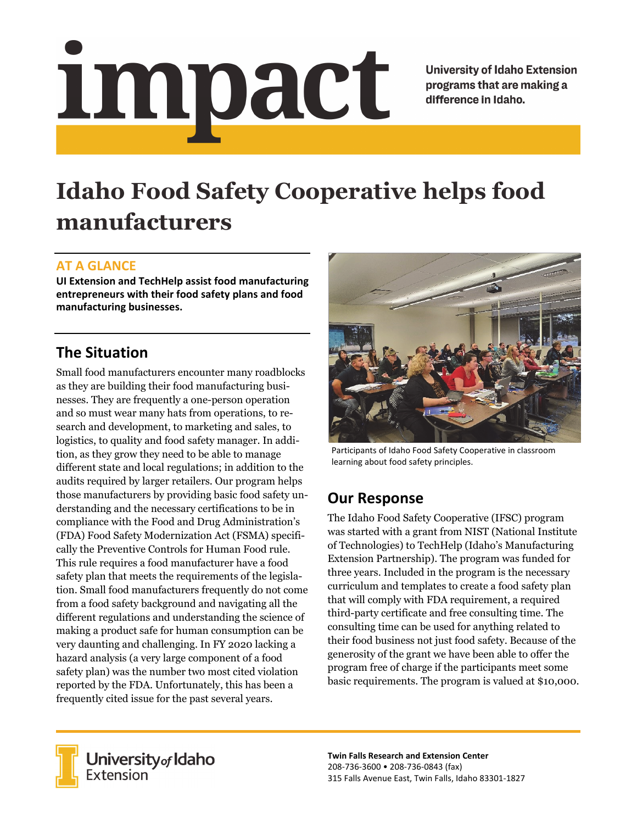# impact

**University of Idaho Extension** programs that are making a difference in Idaho.

# **Idaho Food Safety Cooperative helps food manufacturers**

### **AT A GLANCE**

**UI Extension and TechHelp assist food manufacturing entrepreneurs with their food safety plans and food manufacturing businesses.**

### **The Situation**

Small food manufacturers encounter many roadblocks as they are building their food manufacturing businesses. They are frequently a one-person operation and so must wear many hats from operations, to research and development, to marketing and sales, to logistics, to quality and food safety manager. In addition, as they grow they need to be able to manage different state and local regulations; in addition to the audits required by larger retailers. Our program helps those manufacturers by providing basic food safety understanding and the necessary certifications to be in compliance with the Food and Drug Administration's (FDA) Food Safety Modernization Act (FSMA) specifically the Preventive Controls for Human Food rule. This rule requires a food manufacturer have a food safety plan that meets the requirements of the legislation. Small food manufacturers frequently do not come from a food safety background and navigating all the different regulations and understanding the science of making a product safe for human consumption can be very daunting and challenging. In FY 2020 lacking a hazard analysis (a very large component of a food safety plan) was the number two most cited violation reported by the FDA. Unfortunately, this has been a frequently cited issue for the past several years.



Participants of Idaho Food Safety Cooperative in classroom learning about food safety principles.

## **Our Response**

The Idaho Food Safety Cooperative (IFSC) program was started with a grant from NIST (National Institute of Technologies) to TechHelp (Idaho's Manufacturing Extension Partnership). The program was funded for three years. Included in the program is the necessary curriculum and templates to create a food safety plan that will comply with FDA requirement, a required third-party certificate and free consulting time. The consulting time can be used for anything related to their food business not just food safety. Because of the generosity of the grant we have been able to offer the program free of charge if the participants meet some basic requirements. The program is valued at \$10,000.



University of Idaho<br>Extension

**Twin Falls Research and Extension Center** 208‐736‐3600 • 208‐736‐0843 (fax) 315 Falls Avenue East, Twin Falls, Idaho 83301‐1827